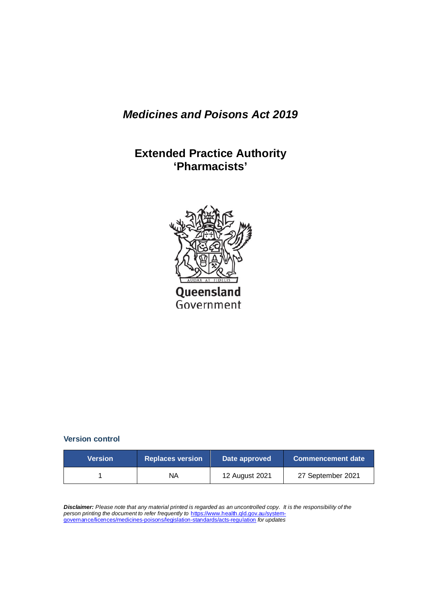# *Medicines and Poisons Act 2019*

# **Extended Practice Authority 'Pharmacists'**



#### **Version control**

| <b>Version</b> | <b>Replaces version</b> | Date approved  | <b>Commencement date</b> |
|----------------|-------------------------|----------------|--------------------------|
|                | ΝA                      | 12 August 2021 | 27 September 2021        |

*Disclaimer: Please note that any material printed is regarded as an uncontrolled copy. It is the responsibility of the person printing the document to refer frequently to* [https://www.health.qld.gov.au/system](https://www.health.qld.gov.au/system-governance/licences/medicines-poisons/legislation-standards/acts-regulation)[governance/licences/medicines-poisons/legislation-standards/acts-regulation](https://www.health.qld.gov.au/system-governance/licences/medicines-poisons/legislation-standards/acts-regulation) *for updates*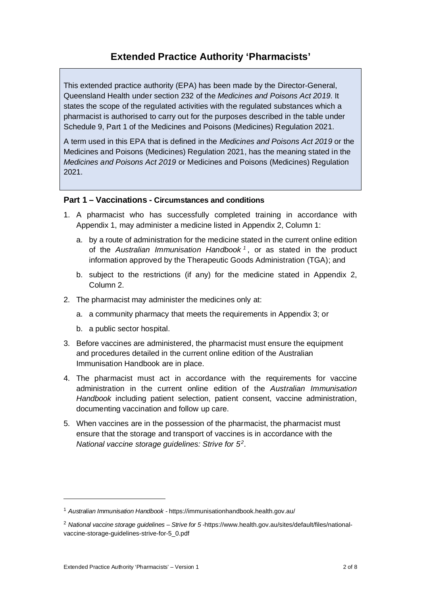### **Extended Practice Authority 'Pharmacists'**

This extended practice authority (EPA) has been made by the Director-General, Queensland Health under section 232 of the *Medicines and Poisons Act 2019*. It states the scope of the regulated activities with the regulated substances which a pharmacist is authorised to carry out for the purposes described in the table under Schedule 9, Part 1 of the Medicines and Poisons (Medicines) Regulation 2021.

A term used in this EPA that is defined in the *Medicines and Poisons Act 2019* or the Medicines and Poisons (Medicines) Regulation 2021, has the meaning stated in the *Medicines and Poisons Act 2019* or Medicines and Poisons (Medicines) Regulation 2021.

#### **Part 1 – Vaccinations - Circumstances and conditions**

- 1. A pharmacist who has successfully completed training in accordance with Appendix 1, may administer a medicine listed in Appendix 2, Column 1:
	- a. by a route of administration for the medicine stated in the current online edition of the *Australian Immunisation Handbook [1](#page-1-0)* , or as stated in the product information approved by the Therapeutic Goods Administration (TGA); and
	- b. subject to the restrictions (if any) for the medicine stated in Appendix 2, Column 2.
- 2. The pharmacist may administer the medicines only at:
	- a. a community pharmacy that meets the requirements in Appendix 3; or
	- b. a public sector hospital.
- 3. Before vaccines are administered, the pharmacist must ensure the equipment and procedures detailed in the current online edition of the Australian Immunisation Handbook are in place.
- 4. The pharmacist must act in accordance with the requirements for vaccine administration in the current online edition of the *Australian Immunisation Handbook* including patient selection, patient consent, vaccine administration, documenting vaccination and follow up care.
- 5. When vaccines are in the possession of the pharmacist, the pharmacist must ensure that the storage and transport of vaccines is in accordance with the *National vaccine storage guidelines: Strive for 5[2](#page-1-1)*.

<span id="page-1-0"></span><sup>1</sup> *Australian Immunisation Handbook -* <https://immunisationhandbook.health.gov.au/>

<span id="page-1-1"></span><sup>2</sup> *National vaccine storage guidelines – Strive for 5 -*[https://www.health.gov.au/sites/default/files/national](https://www.health.gov.au/sites/default/files/national-vaccine-storage-guidelines-strive-for-5_0.pdf)[vaccine-storage-guidelines-strive-for-5\\_0.pdf](https://www.health.gov.au/sites/default/files/national-vaccine-storage-guidelines-strive-for-5_0.pdf)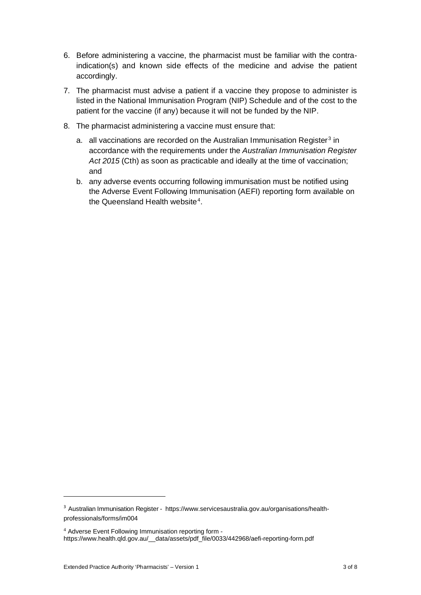- 6. Before administering a vaccine, the pharmacist must be familiar with the contraindication(s) and known side effects of the medicine and advise the patient accordingly.
- 7. The pharmacist must advise a patient if a vaccine they propose to administer is listed in the National Immunisation Program (NIP) Schedule and of the cost to the patient for the vaccine (if any) because it will not be funded by the NIP.
- 8. The pharmacist administering a vaccine must ensure that:
	- a. all vaccinations are recorded on the Australian Immunisation Register<sup>[3](#page-2-0)</sup> in accordance with the requirements under the *Australian Immunisation Register Act 2015* (Cth) as soon as practicable and ideally at the time of vaccination; and
	- b. any adverse events occurring following immunisation must be notified using the Adverse Event Following Immunisation (AEFI) reporting form available on the Queensland Health website<sup>[4](#page-2-1)</sup>.

<span id="page-2-0"></span><sup>3</sup> Australian Immunisation Register -[https://www.servicesaustralia.gov.au/organisations/health](https://www.servicesaustralia.gov.au/organisations/health-professionals/forms/im004)[professionals/forms/im004](https://www.servicesaustralia.gov.au/organisations/health-professionals/forms/im004)

<span id="page-2-1"></span><sup>4</sup> Adverse Event Following Immunisation reporting form https://www.health.qld.gov.au/\_\_data/assets/pdf\_file/0033/442968/aefi-reporting-form.pdf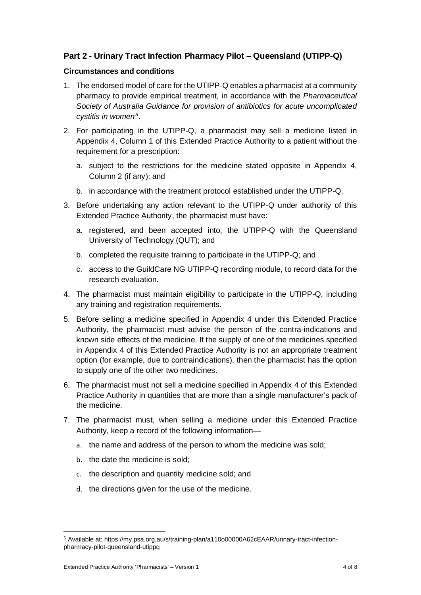### **Part 2 - Urinary Tract Infection Pharmacy Pilot – Queensland (UTIPP-Q)**

#### **Circumstances and conditions**

- 1. The endorsed model of care for the UTIPP-Q enables a pharmacist at a community pharmacy to provide empirical treatment, in accordance with the *Pharmaceutical Society of Australia Guidance for provision of antibiotics for acute uncomplicated cystitis in women[5](#page-3-0)*.
- 2. For participating in the UTIPP-Q, a pharmacist may sell a medicine listed in Appendix 4, Column 1 of this Extended Practice Authority to a patient without the requirement for a prescription:
	- a. subject to the restrictions for the medicine stated opposite in Appendix 4, Column 2 (if any); and
	- b. in accordance with the treatment protocol established under the UTIPP-Q.
- 3. Before undertaking any action relevant to the UTIPP-Q under authority of this Extended Practice Authority, the pharmacist must have:
	- a. registered, and been accepted into, the UTIPP-Q with the Queensland University of Technology (QUT); and
	- b. completed the requisite training to participate in the UTIPP-Q; and
	- c. access to the GuildCare NG UTIPP-Q recording module, to record data for the research evaluation.
- 4. The pharmacist must maintain eligibility to participate in the UTIPP-Q, including any training and registration requirements.
- 5. Before selling a medicine specified in Appendix 4 under this Extended Practice Authority, the pharmacist must advise the person of the contra-indications and known side effects of the medicine. If the supply of one of the medicines specified in Appendix 4 of this Extended Practice Authority is not an appropriate treatment option (for example, due to contraindications), then the pharmacist has the option to supply one of the other two medicines.
- 6. The pharmacist must not sell a medicine specified in Appendix 4 of this Extended Practice Authority in quantities that are more than a single manufacturer's pack of the medicine.
- 7. The pharmacist must, when selling a medicine under this Extended Practice Authority, keep a record of the following information
	- a. the name and address of the person to whom the medicine was sold;
	- b. the date the medicine is sold;
	- c. the description and quantity medicine sold; and
	- d. the directions given for the use of the medicine.

<span id="page-3-0"></span><sup>5</sup> Available at[: https://my.psa.org.au/s/training-plan/a110o00000A62cEAAR/urinary-tract-infection](https://my.psa.org.au/s/training-plan/a110o00000A62cEAAR/urinary-tract-infection-pharmacy-pilot-queensland-utippq)[pharmacy-pilot-queensland-utippq](https://my.psa.org.au/s/training-plan/a110o00000A62cEAAR/urinary-tract-infection-pharmacy-pilot-queensland-utippq)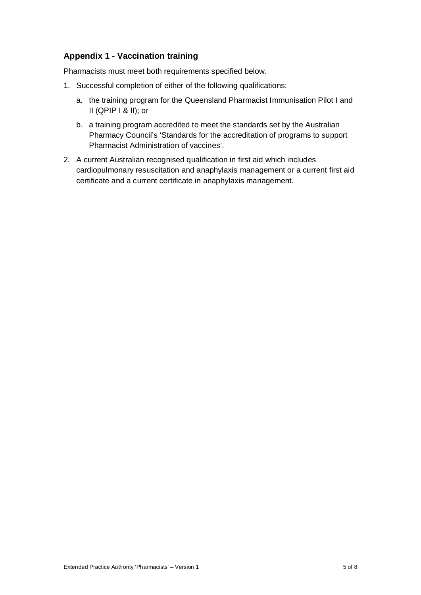### **Appendix 1 - Vaccination training**

Pharmacists must meet both requirements specified below.

- 1. Successful completion of either of the following qualifications:
	- a. the training program for the Queensland Pharmacist Immunisation Pilot I and II (QPIP I & II); or
	- b. a training program accredited to meet the standards set by the Australian Pharmacy Council's 'Standards for the accreditation of programs to support Pharmacist Administration of vaccines'.
- 2. A current Australian recognised qualification in first aid which includes cardiopulmonary resuscitation and anaphylaxis management or a current first aid certificate and a current certificate in anaphylaxis management.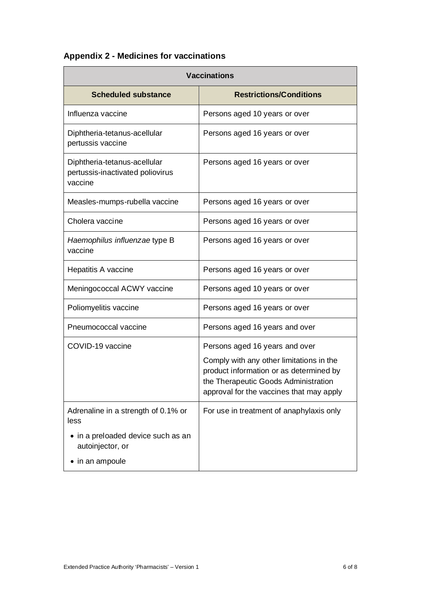## **Appendix 2 - Medicines for vaccinations**

| <b>Vaccinations</b>                                                         |                                                                                                                                                                         |  |
|-----------------------------------------------------------------------------|-------------------------------------------------------------------------------------------------------------------------------------------------------------------------|--|
| <b>Scheduled substance</b>                                                  | <b>Restrictions/Conditions</b>                                                                                                                                          |  |
| Influenza vaccine                                                           | Persons aged 10 years or over                                                                                                                                           |  |
| Diphtheria-tetanus-acellular<br>pertussis vaccine                           | Persons aged 16 years or over                                                                                                                                           |  |
| Diphtheria-tetanus-acellular<br>pertussis-inactivated poliovirus<br>vaccine | Persons aged 16 years or over                                                                                                                                           |  |
| Measles-mumps-rubella vaccine                                               | Persons aged 16 years or over                                                                                                                                           |  |
| Cholera vaccine                                                             | Persons aged 16 years or over                                                                                                                                           |  |
| Haemophilus influenzae type B<br>vaccine                                    | Persons aged 16 years or over                                                                                                                                           |  |
| Hepatitis A vaccine                                                         | Persons aged 16 years or over                                                                                                                                           |  |
| Meningococcal ACWY vaccine                                                  | Persons aged 10 years or over                                                                                                                                           |  |
| Poliomyelitis vaccine                                                       | Persons aged 16 years or over                                                                                                                                           |  |
| Pneumococcal vaccine                                                        | Persons aged 16 years and over                                                                                                                                          |  |
| COVID-19 vaccine                                                            | Persons aged 16 years and over                                                                                                                                          |  |
|                                                                             | Comply with any other limitations in the<br>product information or as determined by<br>the Therapeutic Goods Administration<br>approval for the vaccines that may apply |  |
| Adrenaline in a strength of 0.1% or<br>less                                 | For use in treatment of anaphylaxis only                                                                                                                                |  |
| • in a preloaded device such as an<br>autoinjector, or                      |                                                                                                                                                                         |  |
| in an ampoule                                                               |                                                                                                                                                                         |  |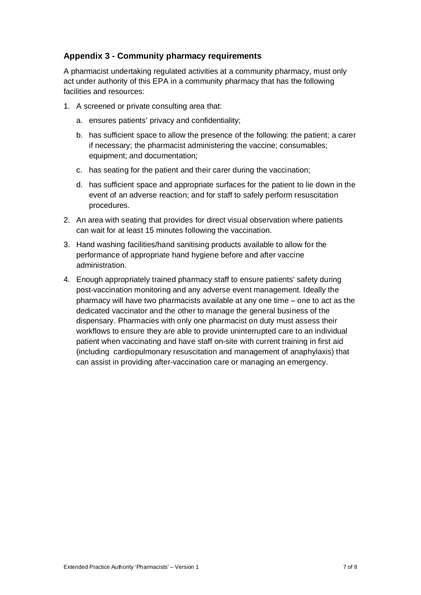### **Appendix 3 - Community pharmacy requirements**

A pharmacist undertaking regulated activities at a community pharmacy, must only act under authority of this EPA in a community pharmacy that has the following facilities and resources:

- 1. A screened or private consulting area that:
	- a. ensures patients' privacy and confidentiality;
	- b. has sufficient space to allow the presence of the following: the patient; a carer if necessary; the pharmacist administering the vaccine; consumables; equipment; and documentation;
	- c. has seating for the patient and their carer during the vaccination;
	- d. has sufficient space and appropriate surfaces for the patient to lie down in the event of an adverse reaction; and for staff to safely perform resuscitation procedures.
- 2. An area with seating that provides for direct visual observation where patients can wait for at least 15 minutes following the vaccination.
- 3. Hand washing facilities/hand sanitising products available to allow for the performance of appropriate hand hygiene before and after vaccine administration.
- 4. Enough appropriately trained pharmacy staff to ensure patients' safety during post-vaccination monitoring and any adverse event management. Ideally the pharmacy will have two pharmacists available at any one time – one to act as the dedicated vaccinator and the other to manage the general business of the dispensary. Pharmacies with only one pharmacist on duty must assess their workflows to ensure they are able to provide uninterrupted care to an individual patient when vaccinating and have staff on-site with current training in first aid (including cardiopulmonary resuscitation and management of anaphylaxis) that can assist in providing after-vaccination care or managing an emergency.